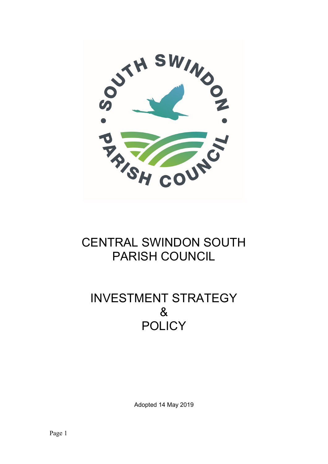

# CENTRAL SWINDON SOUTH PARISH COUNCIL

## INVESTMENT STRATEGY & **POLICY**

Adopted 14 May 2019